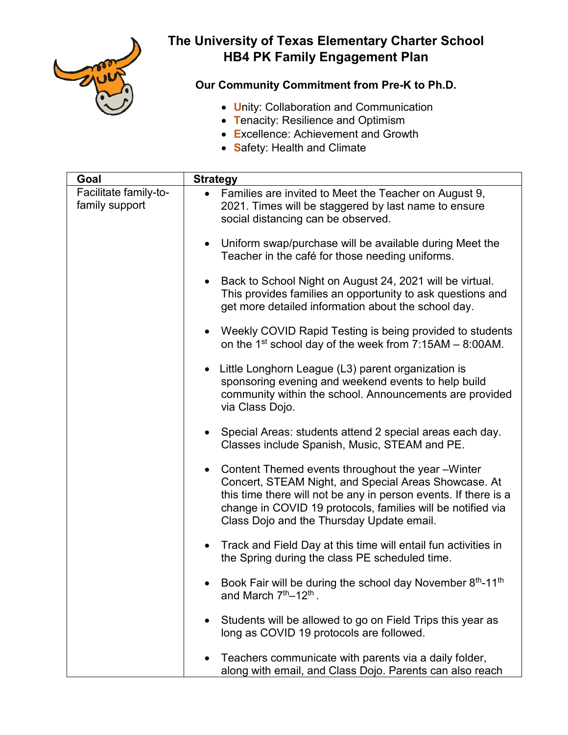

## **The University of Texas Elementary Charter School HB4 PK Family Engagement Plan**

## **Our Community Commitment from Pre-K to Ph.D.**

- **U**nity: Collaboration and Communication
- **T**enacity: Resilience and Optimism
- **E**xcellence: Achievement and Growth
- **S**afety: Health and Climate

| Goal                                    | <b>Strategy</b>                                                                                                                                                                                                                                                                                       |
|-----------------------------------------|-------------------------------------------------------------------------------------------------------------------------------------------------------------------------------------------------------------------------------------------------------------------------------------------------------|
| Facilitate family-to-<br>family support | • Families are invited to Meet the Teacher on August 9,<br>2021. Times will be staggered by last name to ensure<br>social distancing can be observed.                                                                                                                                                 |
|                                         | • Uniform swap/purchase will be available during Meet the<br>Teacher in the café for those needing uniforms.                                                                                                                                                                                          |
|                                         | Back to School Night on August 24, 2021 will be virtual.<br>This provides families an opportunity to ask questions and<br>get more detailed information about the school day.                                                                                                                         |
|                                         | Weekly COVID Rapid Testing is being provided to students<br>on the 1 <sup>st</sup> school day of the week from $7:15AM - 8:00AM$ .                                                                                                                                                                    |
|                                         | Little Longhorn League (L3) parent organization is<br>sponsoring evening and weekend events to help build<br>community within the school. Announcements are provided<br>via Class Dojo.                                                                                                               |
|                                         | Special Areas: students attend 2 special areas each day.<br>$\bullet$<br>Classes include Spanish, Music, STEAM and PE.                                                                                                                                                                                |
|                                         | Content Themed events throughout the year -Winter<br>$\bullet$<br>Concert, STEAM Night, and Special Areas Showcase. At<br>this time there will not be any in person events. If there is a<br>change in COVID 19 protocols, families will be notified via<br>Class Dojo and the Thursday Update email. |
|                                         | Track and Field Day at this time will entail fun activities in<br>the Spring during the class PE scheduled time.                                                                                                                                                                                      |
|                                         | Book Fair will be during the school day November 8th-11th<br>and March 7 <sup>th</sup> -12 <sup>th</sup> .                                                                                                                                                                                            |
|                                         | Students will be allowed to go on Field Trips this year as<br>long as COVID 19 protocols are followed.                                                                                                                                                                                                |
|                                         | Teachers communicate with parents via a daily folder,<br>along with email, and Class Dojo. Parents can also reach                                                                                                                                                                                     |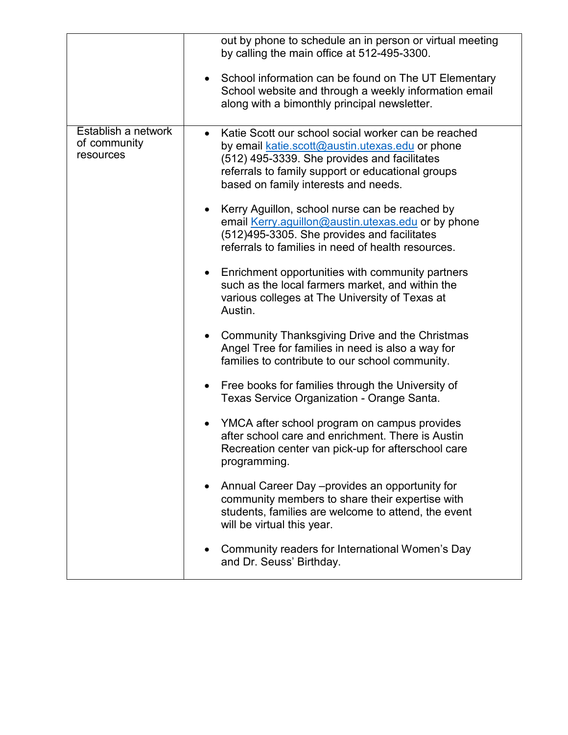|                                                  | out by phone to schedule an in person or virtual meeting<br>by calling the main office at 512-495-3300.<br>School information can be found on The UT Elementary                                                                                     |
|--------------------------------------------------|-----------------------------------------------------------------------------------------------------------------------------------------------------------------------------------------------------------------------------------------------------|
|                                                  | School website and through a weekly information email<br>along with a bimonthly principal newsletter.                                                                                                                                               |
| Establish a network<br>of community<br>resources | Katie Scott our school social worker can be reached<br>by email katie.scott@austin.utexas.edu or phone<br>(512) 495-3339. She provides and facilitates<br>referrals to family support or educational groups<br>based on family interests and needs. |
|                                                  | Kerry Aguillon, school nurse can be reached by<br>email Kerry.aguillon@austin.utexas.edu or by phone<br>(512)495-3305. She provides and facilitates<br>referrals to families in need of health resources.                                           |
|                                                  | Enrichment opportunities with community partners<br>such as the local farmers market, and within the<br>various colleges at The University of Texas at<br>Austin.                                                                                   |
|                                                  | <b>Community Thanksgiving Drive and the Christmas</b><br>Angel Tree for families in need is also a way for<br>families to contribute to our school community.                                                                                       |
|                                                  | Free books for families through the University of<br>Texas Service Organization - Orange Santa.                                                                                                                                                     |
|                                                  | YMCA after school program on campus provides<br>after school care and enrichment. There is Austin<br>Recreation center van pick-up for afterschool care<br>programming.                                                                             |
|                                                  | • Annual Career Day – provides an opportunity for<br>community members to share their expertise with<br>students, families are welcome to attend, the event<br>will be virtual this year.                                                           |
|                                                  | Community readers for International Women's Day<br>and Dr. Seuss' Birthday.                                                                                                                                                                         |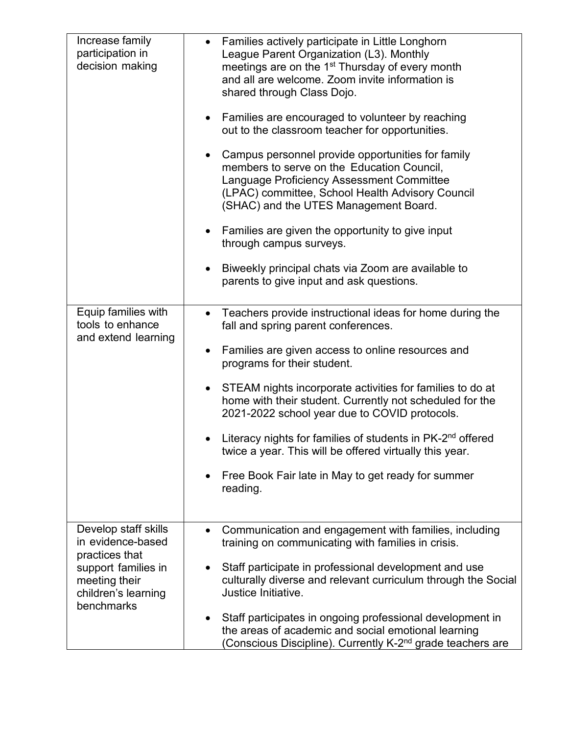| Increase family<br>participation in<br>decision making                                                                                   | • Families actively participate in Little Longhorn<br>League Parent Organization (L3). Monthly<br>meetings are on the 1 <sup>st</sup> Thursday of every month<br>and all are welcome. Zoom invite information is<br>shared through Class Dojo.<br>Families are encouraged to volunteer by reaching<br>out to the classroom teacher for opportunities.<br>Campus personnel provide opportunities for family<br>members to serve on the Education Council,<br>Language Proficiency Assessment Committee<br>(LPAC) committee, School Health Advisory Council<br>(SHAC) and the UTES Management Board.<br>Families are given the opportunity to give input<br>$\bullet$<br>through campus surveys.<br>Biweekly principal chats via Zoom are available to<br>parents to give input and ask questions. |
|------------------------------------------------------------------------------------------------------------------------------------------|--------------------------------------------------------------------------------------------------------------------------------------------------------------------------------------------------------------------------------------------------------------------------------------------------------------------------------------------------------------------------------------------------------------------------------------------------------------------------------------------------------------------------------------------------------------------------------------------------------------------------------------------------------------------------------------------------------------------------------------------------------------------------------------------------|
| Equip families with<br>tools to enhance<br>and extend learning                                                                           | Teachers provide instructional ideas for home during the<br>$\bullet$<br>fall and spring parent conferences.<br>Families are given access to online resources and<br>programs for their student.<br>STEAM nights incorporate activities for families to do at<br>$\bullet$<br>home with their student. Currently not scheduled for the<br>2021-2022 school year due to COVID protocols.<br>Literacy nights for families of students in PK-2 <sup>nd</sup> offered<br>twice a year. This will be offered virtually this year.<br>Free Book Fair late in May to get ready for summer<br>$\bullet$<br>reading.                                                                                                                                                                                      |
| Develop staff skills<br>in evidence-based<br>practices that<br>support families in<br>meeting their<br>children's learning<br>benchmarks | Communication and engagement with families, including<br>$\bullet$<br>training on communicating with families in crisis.<br>Staff participate in professional development and use<br>culturally diverse and relevant curriculum through the Social<br>Justice Initiative.<br>Staff participates in ongoing professional development in<br>the areas of academic and social emotional learning<br>(Conscious Discipline). Currently K-2 <sup>nd</sup> grade teachers are                                                                                                                                                                                                                                                                                                                          |